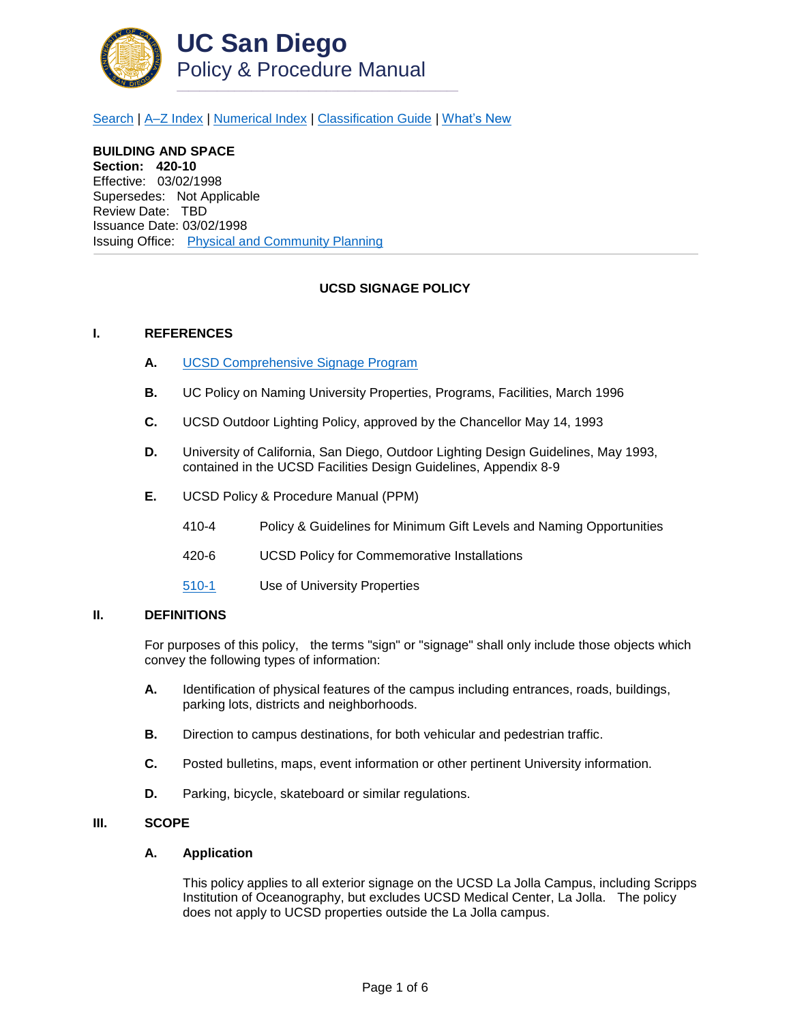

[Search](http://adminrecords.ucsd.edu/ppm/index.html) | [A–Z Index](http://adminrecords.ucsd.edu/ppm/ppmindex.html) | [Numerical Index](http://adminrecords.ucsd.edu/ppm/numerical.html) | [Classification Guide](http://adminrecords.ucsd.edu/ppm/alphabetical.html) | [What's New](http://adminrecords.ucsd.edu/ppm/whatsnew.html)

**BUILDING AND SPACE Section: 420-10** Effective: 03/02/1998 Supersedes: Not Applicable Review Date: TBD Issuance Date: 03/02/1998 Issuing Office:[Physical and Community Planning](http://physicalplanning.ucsd.edu/home/default.htm)

# **UCSD SIGNAGE POLICY**

### **I. REFERENCES**

- **A.** [UCSD Comprehensive Signage Program](http://physicalplanning.ucsd.edu/policies/UCSDCompSignage%20Program.pdf)
- **B.** UC Policy on Naming University Properties, Programs, Facilities, March 1996
- **C.** UCSD Outdoor Lighting Policy, approved by the Chancellor May 14, 1993
- **D.** University of California, San Diego, Outdoor Lighting Design Guidelines, May 1993, contained in the UCSD Facilities Design Guidelines, Appendix 8-9
- **E.** UCSD Policy & Procedure Manual (PPM)
	- 410-4 Policy & Guidelines for Minimum Gift Levels and Naming Opportunities
	- 420-6 UCSD Policy for Commemorative Installations
	- [510-1](http://adminrecords.ucsd.edu/ppm/docs/toc510.HTML) Use of University Properties

### **II. DEFINITIONS**

For purposes of this policy, the terms "sign" or "signage" shall only include those objects which convey the following types of information:

- **A.** Identification of physical features of the campus including entrances, roads, buildings, parking lots, districts and neighborhoods.
- **B.** Direction to campus destinations, for both vehicular and pedestrian traffic.
- **C.** Posted bulletins, maps, event information or other pertinent University information.
- **D.** Parking, bicycle, skateboard or similar regulations.

## **III. SCOPE**

#### **A. Application**

This policy applies to all exterior signage on the UCSD La Jolla Campus, including Scripps Institution of Oceanography, but excludes UCSD Medical Center, La Jolla. The policy does not apply to UCSD properties outside the La Jolla campus.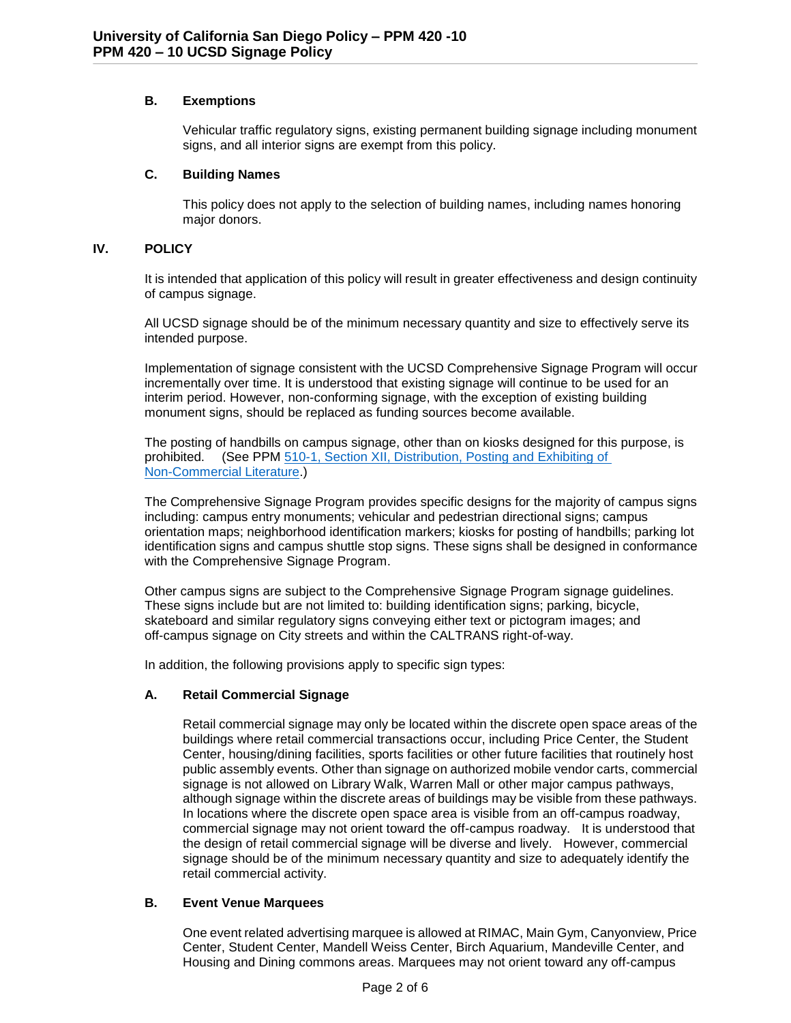# **B. Exemptions**

Vehicular traffic regulatory signs, existing permanent building signage including monument signs, and all interior signs are exempt from this policy.

### **C. Building Names**

This policy does not apply to the selection of building names, including names honoring major donors.

## **IV. POLICY**

It is intended that application of this policy will result in greater effectiveness and design continuity of campus signage.

All UCSD signage should be of the minimum necessary quantity and size to effectively serve its intended purpose.

Implementation of signage consistent with the UCSD Comprehensive Signage Program will occur incrementally over time. It is understood that existing signage will continue to be used for an interim period. However, non-conforming signage, with the exception of existing building monument signs, should be replaced as funding sources become available.

The posting of handbills on campus signage, other than on kiosks designed for this purpose, is prohibited. (See PPM [510-1, Section XII, Distribution, Posting and Exhibiting of](http://adminrecords.ucsd.edu/ppm/docs/510-1.9.HTML)  [Non-Commercial Literature.](http://adminrecords.ucsd.edu/ppm/docs/510-1.9.HTML))

The Comprehensive Signage Program provides specific designs for the majority of campus signs including: campus entry monuments; vehicular and pedestrian directional signs; campus orientation maps; neighborhood identification markers; kiosks for posting of handbills; parking lot identification signs and campus shuttle stop signs. These signs shall be designed in conformance with the Comprehensive Signage Program.

Other campus signs are subject to the Comprehensive Signage Program signage guidelines. These signs include but are not limited to: building identification signs; parking, bicycle, skateboard and similar regulatory signs conveying either text or pictogram images; and off-campus signage on City streets and within the CALTRANS right-of-way.

In addition, the following provisions apply to specific sign types:

# **A. Retail Commercial Signage**

Retail commercial signage may only be located within the discrete open space areas of the buildings where retail commercial transactions occur, including Price Center, the Student Center, housing/dining facilities, sports facilities or other future facilities that routinely host public assembly events. Other than signage on authorized mobile vendor carts, commercial signage is not allowed on Library Walk, Warren Mall or other major campus pathways, although signage within the discrete areas of buildings may be visible from these pathways. In locations where the discrete open space area is visible from an off-campus roadway, commercial signage may not orient toward the off-campus roadway. It is understood that the design of retail commercial signage will be diverse and lively. However, commercial signage should be of the minimum necessary quantity and size to adequately identify the retail commercial activity.

# **B. Event Venue Marquees**

One event related advertising marquee is allowed at RIMAC, Main Gym, Canyonview, Price Center, Student Center, Mandell Weiss Center, Birch Aquarium, Mandeville Center, and Housing and Dining commons areas. Marquees may not orient toward any off-campus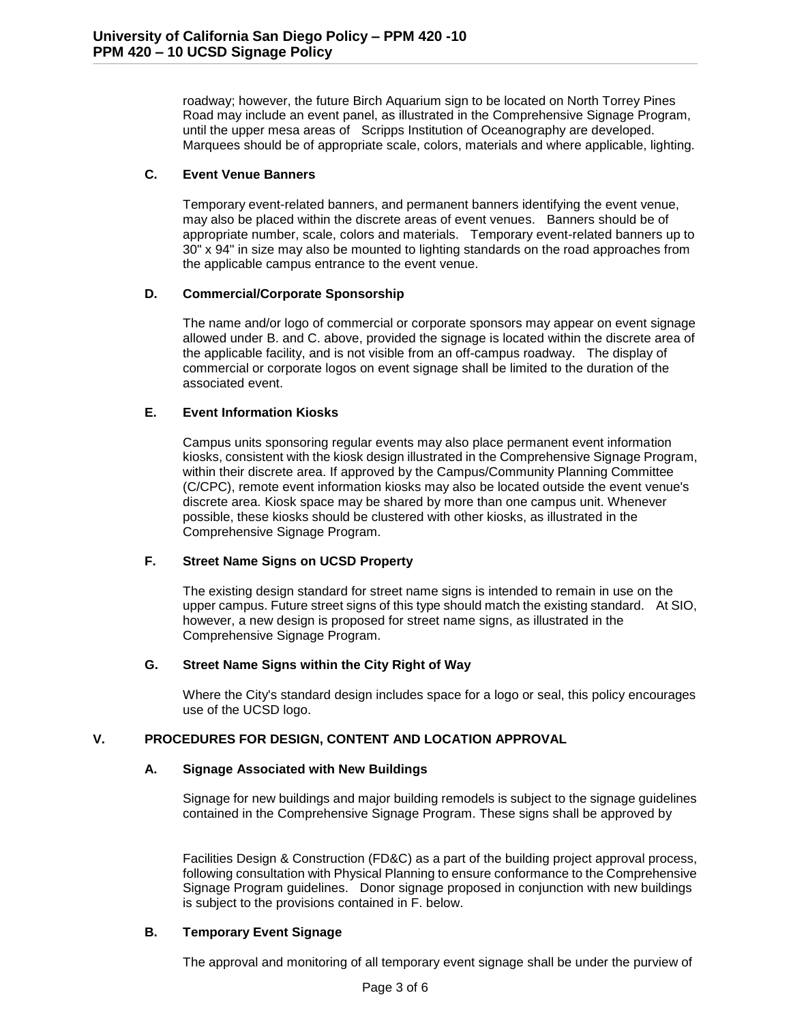roadway; however, the future Birch Aquarium sign to be located on North Torrey Pines Road may include an event panel, as illustrated in the Comprehensive Signage Program, until the upper mesa areas of Scripps Institution of Oceanography are developed. Marquees should be of appropriate scale, colors, materials and where applicable, lighting.

## **C. Event Venue Banners**

Temporary event-related banners, and permanent banners identifying the event venue, may also be placed within the discrete areas of event venues. Banners should be of appropriate number, scale, colors and materials. Temporary event-related banners up to 30" x 94" in size may also be mounted to lighting standards on the road approaches from the applicable campus entrance to the event venue.

# **D. Commercial/Corporate Sponsorship**

The name and/or logo of commercial or corporate sponsors may appear on event signage allowed under B. and C. above, provided the signage is located within the discrete area of the applicable facility, and is not visible from an off-campus roadway. The display of commercial or corporate logos on event signage shall be limited to the duration of the associated event.

# **E. Event Information Kiosks**

Campus units sponsoring regular events may also place permanent event information kiosks, consistent with the kiosk design illustrated in the Comprehensive Signage Program, within their discrete area. If approved by the Campus/Community Planning Committee (C/CPC), remote event information kiosks may also be located outside the event venue's discrete area. Kiosk space may be shared by more than one campus unit. Whenever possible, these kiosks should be clustered with other kiosks, as illustrated in the Comprehensive Signage Program.

# **F. Street Name Signs on UCSD Property**

The existing design standard for street name signs is intended to remain in use on the upper campus. Future street signs of this type should match the existing standard. At SIO, however, a new design is proposed for street name signs, as illustrated in the Comprehensive Signage Program.

# **G. Street Name Signs within the City Right of Way**

Where the City's standard design includes space for a logo or seal, this policy encourages use of the UCSD logo.

# **V. PROCEDURES FOR DESIGN, CONTENT AND LOCATION APPROVAL**

### **A. Signage Associated with New Buildings**

Signage for new buildings and major building remodels is subject to the signage guidelines contained in the Comprehensive Signage Program. These signs shall be approved by

Facilities Design & Construction (FD&C) as a part of the building project approval process, following consultation with Physical Planning to ensure conformance to the Comprehensive Signage Program guidelines. Donor signage proposed in conjunction with new buildings is subject to the provisions contained in F. below.

### **B. Temporary Event Signage**

The approval and monitoring of all temporary event signage shall be under the purview of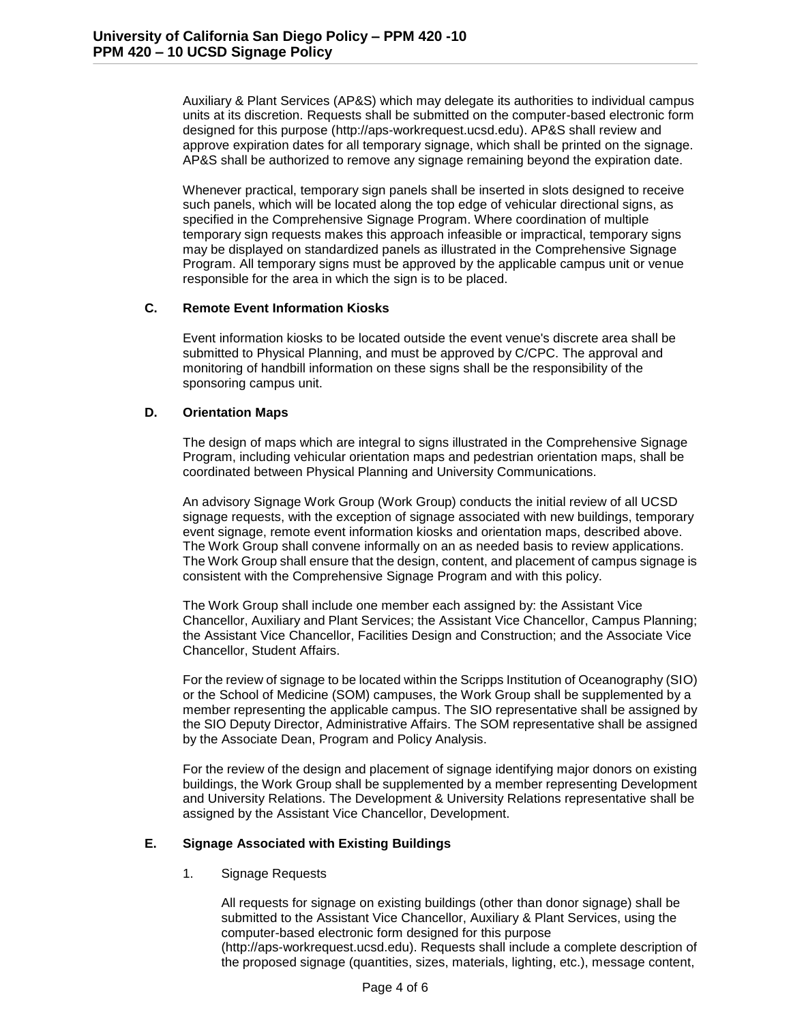Auxiliary & Plant Services (AP&S) which may delegate its authorities to individual campus units at its discretion. Requests shall be submitted on the computer-based electronic form designed for this purpose (http://aps-workrequest.ucsd.edu). AP&S shall review and approve expiration dates for all temporary signage, which shall be printed on the signage. AP&S shall be authorized to remove any signage remaining beyond the expiration date.

Whenever practical, temporary sign panels shall be inserted in slots designed to receive such panels, which will be located along the top edge of vehicular directional signs, as specified in the Comprehensive Signage Program. Where coordination of multiple temporary sign requests makes this approach infeasible or impractical, temporary signs may be displayed on standardized panels as illustrated in the Comprehensive Signage Program. All temporary signs must be approved by the applicable campus unit or venue responsible for the area in which the sign is to be placed.

### **C. Remote Event Information Kiosks**

Event information kiosks to be located outside the event venue's discrete area shall be submitted to Physical Planning, and must be approved by C/CPC. The approval and monitoring of handbill information on these signs shall be the responsibility of the sponsoring campus unit.

# **D. Orientation Maps**

The design of maps which are integral to signs illustrated in the Comprehensive Signage Program, including vehicular orientation maps and pedestrian orientation maps, shall be coordinated between Physical Planning and University Communications.

An advisory Signage Work Group (Work Group) conducts the initial review of all UCSD signage requests, with the exception of signage associated with new buildings, temporary event signage, remote event information kiosks and orientation maps, described above. The Work Group shall convene informally on an as needed basis to review applications. The Work Group shall ensure that the design, content, and placement of campus signage is consistent with the Comprehensive Signage Program and with this policy.

The Work Group shall include one member each assigned by: the Assistant Vice Chancellor, Auxiliary and Plant Services; the Assistant Vice Chancellor, Campus Planning; the Assistant Vice Chancellor, Facilities Design and Construction; and the Associate Vice Chancellor, Student Affairs.

For the review of signage to be located within the Scripps Institution of Oceanography (SIO) or the School of Medicine (SOM) campuses, the Work Group shall be supplemented by a member representing the applicable campus. The SIO representative shall be assigned by the SIO Deputy Director, Administrative Affairs. The SOM representative shall be assigned by the Associate Dean, Program and Policy Analysis.

For the review of the design and placement of signage identifying major donors on existing buildings, the Work Group shall be supplemented by a member representing Development and University Relations. The Development & University Relations representative shall be assigned by the Assistant Vice Chancellor, Development.

# **E. Signage Associated with Existing Buildings**

1. Signage Requests

All requests for signage on existing buildings (other than donor signage) shall be submitted to the Assistant Vice Chancellor, Auxiliary & Plant Services, using the computer-based electronic form designed for this purpose

(http://aps-workrequest.ucsd.edu). Requests shall include a complete description of the proposed signage (quantities, sizes, materials, lighting, etc.), message content,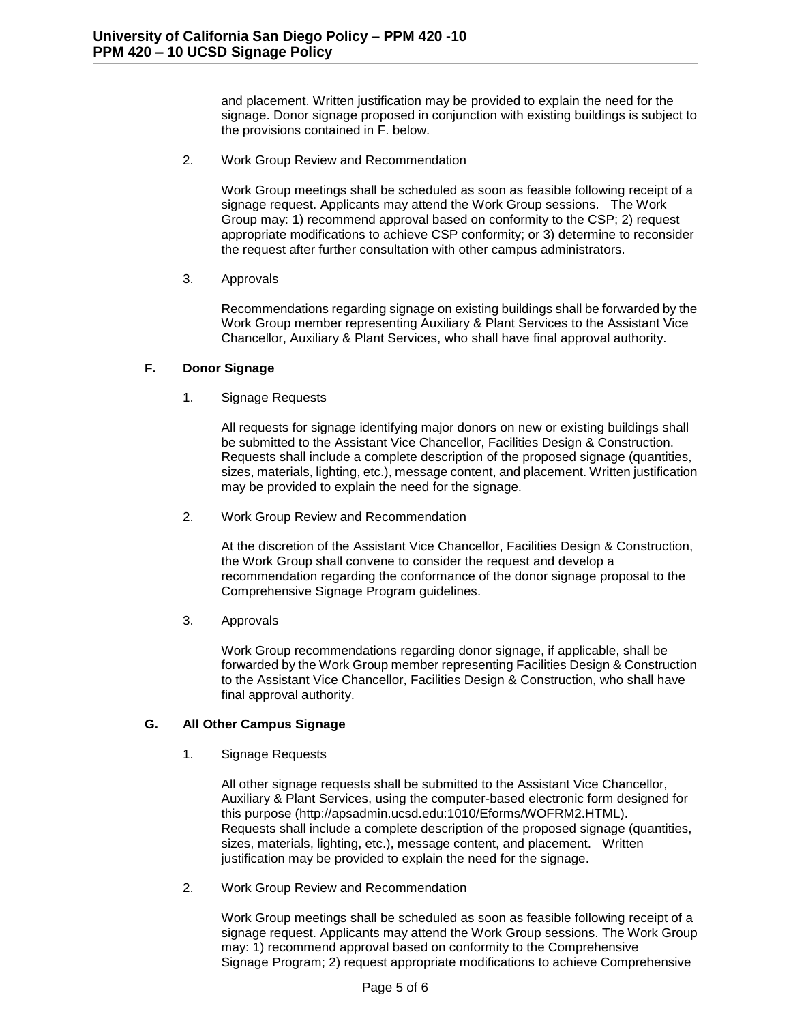and placement. Written justification may be provided to explain the need for the signage. Donor signage proposed in conjunction with existing buildings is subject to the provisions contained in F. below.

2. Work Group Review and Recommendation

Work Group meetings shall be scheduled as soon as feasible following receipt of a signage request. Applicants may attend the Work Group sessions. The Work Group may: 1) recommend approval based on conformity to the CSP; 2) request appropriate modifications to achieve CSP conformity; or 3) determine to reconsider the request after further consultation with other campus administrators.

### 3. Approvals

Recommendations regarding signage on existing buildings shall be forwarded by the Work Group member representing Auxiliary & Plant Services to the Assistant Vice Chancellor, Auxiliary & Plant Services, who shall have final approval authority.

## **F. Donor Signage**

1. Signage Requests

All requests for signage identifying major donors on new or existing buildings shall be submitted to the Assistant Vice Chancellor, Facilities Design & Construction. Requests shall include a complete description of the proposed signage (quantities, sizes, materials, lighting, etc.), message content, and placement. Written justification may be provided to explain the need for the signage.

2. Work Group Review and Recommendation

At the discretion of the Assistant Vice Chancellor, Facilities Design & Construction, the Work Group shall convene to consider the request and develop a recommendation regarding the conformance of the donor signage proposal to the Comprehensive Signage Program guidelines.

3. Approvals

Work Group recommendations regarding donor signage, if applicable, shall be forwarded by the Work Group member representing Facilities Design & Construction to the Assistant Vice Chancellor, Facilities Design & Construction, who shall have final approval authority.

### **G. All Other Campus Signage**

1. Signage Requests

All other signage requests shall be submitted to the Assistant Vice Chancellor, Auxiliary & Plant Services, using the computer-based electronic form designed for this purpose (http://apsadmin.ucsd.edu:1010/Eforms/WOFRM2.HTML). Requests shall include a complete description of the proposed signage (quantities, sizes, materials, lighting, etc.), message content, and placement. Written justification may be provided to explain the need for the signage.

2. Work Group Review and Recommendation

Work Group meetings shall be scheduled as soon as feasible following receipt of a signage request. Applicants may attend the Work Group sessions. The Work Group may: 1) recommend approval based on conformity to the Comprehensive Signage Program; 2) request appropriate modifications to achieve Comprehensive